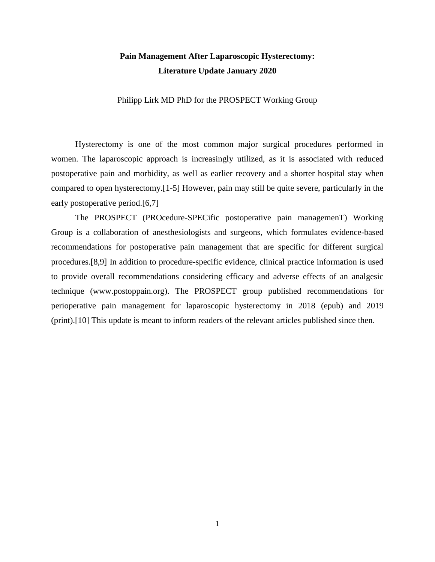## **Pain Management After Laparoscopic Hysterectomy: Literature Update January 2020**

Philipp Lirk MD PhD for the PROSPECT Working Group

Hysterectomy is one of the most common major surgical procedures performed in women. The laparoscopic approach is increasingly utilized, as it is associated with reduced postoperative pain and morbidity, as well as earlier recovery and a shorter hospital stay when compared to open hysterectomy.[1-5] However, pain may still be quite severe, particularly in the early postoperative period.[6,7]

The PROSPECT (PROcedure-SPECific postoperative pain managemenT) Working Group is a collaboration of anesthesiologists and surgeons, which formulates evidence-based recommendations for postoperative pain management that are specific for different surgical procedures.[8,9] In addition to procedure-specific evidence, clinical practice information is used to provide overall recommendations considering efficacy and adverse effects of an analgesic technique [\(www.postoppain.org\)](http://www.postoppain.org/). The PROSPECT group published recommendations for perioperative pain management for laparoscopic hysterectomy in 2018 (epub) and 2019 (print).[10] This update is meant to inform readers of the relevant articles published since then.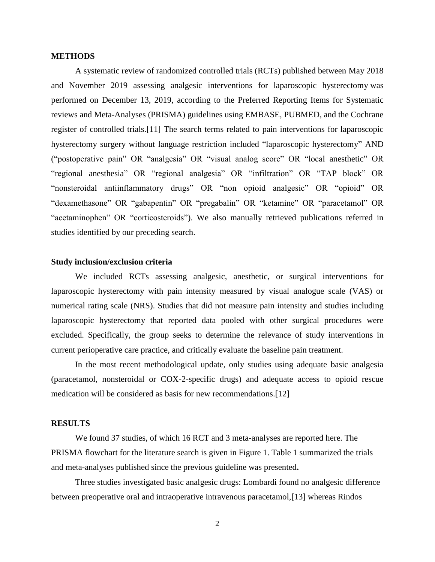#### **METHODS**

A systematic review of randomized controlled trials (RCTs) published between May 2018 and November 2019 assessing analgesic interventions for laparoscopic hysterectomy was performed on December 13, 2019, according to the Preferred Reporting Items for Systematic reviews and Meta-Analyses (PRISMA) guidelines using EMBASE, PUBMED, and the Cochrane register of controlled trials.[11] The search terms related to pain interventions for laparoscopic hysterectomy surgery without language restriction included "laparoscopic hysterectomy" AND ("postoperative pain" OR "analgesia" OR "visual analog score" OR "local anesthetic" OR "regional anesthesia" OR "regional analgesia" OR "infiltration" OR "TAP block" OR "nonsteroidal antiinflammatory drugs" OR "non opioid analgesic" OR "opioid" OR "dexamethasone" OR "gabapentin" OR "pregabalin" OR "ketamine" OR "paracetamol" OR "acetaminophen" OR "corticosteroids"). We also manually retrieved publications referred in studies identified by our preceding search.

#### **Study inclusion/exclusion criteria**

We included RCTs assessing analgesic, anesthetic, or surgical interventions for laparoscopic hysterectomy with pain intensity measured by visual analogue scale (VAS) or numerical rating scale (NRS). Studies that did not measure pain intensity and studies including laparoscopic hysterectomy that reported data pooled with other surgical procedures were excluded. Specifically, the group seeks to determine the relevance of study interventions in current perioperative care practice, and critically evaluate the baseline pain treatment.

In the most recent methodological update, only studies using adequate basic analgesia (paracetamol, nonsteroidal or COX-2-specific drugs) and adequate access to opioid rescue medication will be considered as basis for new recommendations.[12]

#### **RESULTS**

We found 37 studies, of which 16 RCT and 3 meta-analyses are reported here. The PRISMA flowchart for the literature search is given in Figure 1. Table 1 summarized the trials and meta-analyses published since the previous guideline was presented**.** 

Three studies investigated basic analgesic drugs: Lombardi found no analgesic difference between preoperative oral and intraoperative intravenous paracetamol,[13] whereas Rindos

2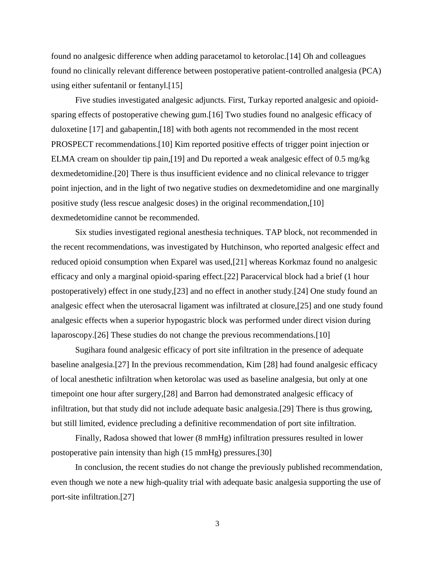found no analgesic difference when adding paracetamol to ketorolac.[14] Oh and colleagues found no clinically relevant difference between postoperative patient-controlled analgesia (PCA) using either sufentanil or fentanyl.[15]

Five studies investigated analgesic adjuncts. First, Turkay reported analgesic and opioidsparing effects of postoperative chewing gum.[16] Two studies found no analgesic efficacy of duloxetine [17] and gabapentin,[18] with both agents not recommended in the most recent PROSPECT recommendations.[10] Kim reported positive effects of trigger point injection or ELMA cream on shoulder tip pain,[19] and Du reported a weak analgesic effect of 0.5 mg/kg dexmedetomidine.[20] There is thus insufficient evidence and no clinical relevance to trigger point injection, and in the light of two negative studies on dexmedetomidine and one marginally positive study (less rescue analgesic doses) in the original recommendation,[10] dexmedetomidine cannot be recommended.

Six studies investigated regional anesthesia techniques. TAP block, not recommended in the recent recommendations, was investigated by Hutchinson, who reported analgesic effect and reduced opioid consumption when Exparel was used,[21] whereas Korkmaz found no analgesic efficacy and only a marginal opioid-sparing effect.[22] Paracervical block had a brief (1 hour postoperatively) effect in one study,[23] and no effect in another study.[24] One study found an analgesic effect when the uterosacral ligament was infiltrated at closure,[25] and one study found analgesic effects when a superior hypogastric block was performed under direct vision during laparoscopy.[26] These studies do not change the previous recommendations.[10]

Sugihara found analgesic efficacy of port site infiltration in the presence of adequate baseline analgesia.[27] In the previous recommendation, Kim [28] had found analgesic efficacy of local anesthetic infiltration when ketorolac was used as baseline analgesia, but only at one timepoint one hour after surgery,[28] and Barron had demonstrated analgesic efficacy of infiltration, but that study did not include adequate basic analgesia.[29] There is thus growing, but still limited, evidence precluding a definitive recommendation of port site infiltration.

Finally, Radosa showed that lower (8 mmHg) infiltration pressures resulted in lower postoperative pain intensity than high (15 mmHg) pressures.[30]

In conclusion, the recent studies do not change the previously published recommendation, even though we note a new high-quality trial with adequate basic analgesia supporting the use of port-site infiltration.[27]

3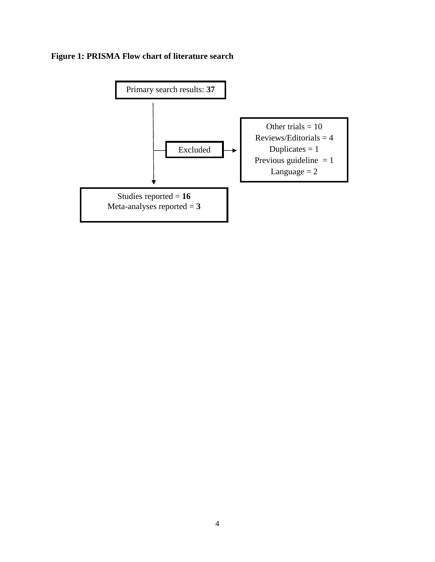# **Figure 1: PRISMA Flow chart of literature search**

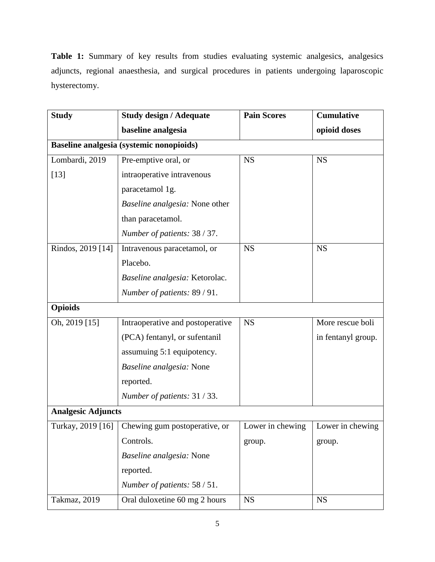**Table 1:** Summary of key results from studies evaluating systemic analgesics, analgesics adjuncts, regional anaesthesia, and surgical procedures in patients undergoing laparoscopic hysterectomy.

| <b>Study</b>                             | <b>Study design / Adequate</b>                  | <b>Pain Scores</b>                  | <b>Cumulative</b>  |  |  |
|------------------------------------------|-------------------------------------------------|-------------------------------------|--------------------|--|--|
|                                          | baseline analgesia                              |                                     | opioid doses       |  |  |
| Baseline analgesia (systemic nonopioids) |                                                 |                                     |                    |  |  |
| Lombardi, 2019                           | Pre-emptive oral, or                            | <b>NS</b>                           | <b>NS</b>          |  |  |
| $[13]$                                   | intraoperative intravenous                      |                                     |                    |  |  |
|                                          | paracetamol 1g.                                 |                                     |                    |  |  |
|                                          | Baseline analgesia: None other                  |                                     |                    |  |  |
|                                          | than paracetamol.                               |                                     |                    |  |  |
|                                          | Number of patients: 38 / 37.                    |                                     |                    |  |  |
| Rindos, 2019 [14]                        | Intravenous paracetamol, or                     | <b>NS</b>                           | <b>NS</b>          |  |  |
|                                          | Placebo.                                        |                                     |                    |  |  |
|                                          | Baseline analgesia: Ketorolac.                  |                                     |                    |  |  |
|                                          | Number of patients: 89 / 91.                    |                                     |                    |  |  |
| <b>Opioids</b>                           |                                                 |                                     |                    |  |  |
| Oh, 2019 [15]                            | Intraoperative and postoperative                | <b>NS</b>                           | More rescue boli   |  |  |
|                                          | (PCA) fentanyl, or sufentanil                   |                                     | in fentanyl group. |  |  |
|                                          | assumuing 5:1 equipotency.                      |                                     |                    |  |  |
|                                          | Baseline analgesia: None                        |                                     |                    |  |  |
|                                          | reported.                                       |                                     |                    |  |  |
|                                          | Number of patients: 31 / 33.                    |                                     |                    |  |  |
| <b>Analgesic Adjuncts</b>                |                                                 |                                     |                    |  |  |
|                                          | Turkay, 2019 [16] Chewing gum postoperative, or | Lower in chewing   Lower in chewing |                    |  |  |
|                                          | Controls.                                       | group.                              | group.             |  |  |
|                                          | Baseline analgesia: None                        |                                     |                    |  |  |
|                                          | reported.                                       |                                     |                    |  |  |
|                                          | Number of patients: 58 / 51.                    |                                     |                    |  |  |
| Takmaz, 2019                             | Oral duloxetine 60 mg 2 hours                   | <b>NS</b>                           | <b>NS</b>          |  |  |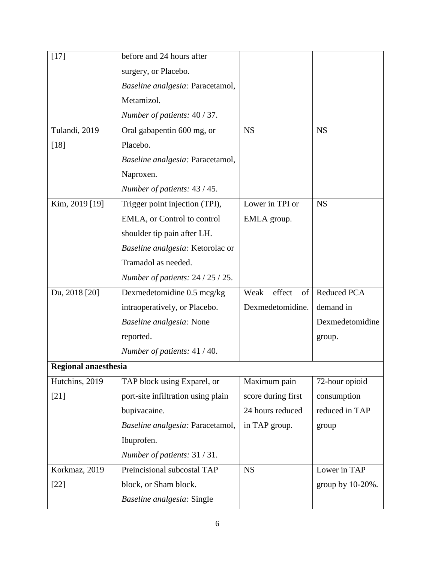| $[17]$               | before and 24 hours after            |                      |                  |
|----------------------|--------------------------------------|----------------------|------------------|
|                      | surgery, or Placebo.                 |                      |                  |
|                      | Baseline analgesia: Paracetamol,     |                      |                  |
|                      | Metamizol.                           |                      |                  |
|                      | Number of patients: 40 / 37.         |                      |                  |
| Tulandi, 2019        | Oral gabapentin 600 mg, or           | <b>NS</b>            | <b>NS</b>        |
| $[18]$               | Placebo.                             |                      |                  |
|                      | Baseline analgesia: Paracetamol,     |                      |                  |
|                      | Naproxen.                            |                      |                  |
|                      | Number of patients: 43 / 45.         |                      |                  |
| Kim, 2019 [19]       | Trigger point injection (TPI),       | Lower in TPI or      | <b>NS</b>        |
|                      | EMLA, or Control to control          | EMLA group.          |                  |
|                      | shoulder tip pain after LH.          |                      |                  |
|                      | Baseline analgesia: Ketorolac or     |                      |                  |
|                      | Tramadol as needed.                  |                      |                  |
|                      | Number of patients: $24 / 25 / 25$ . |                      |                  |
| Du, 2018 [20]        | Dexmedetomidine 0.5 mcg/kg           | Weak<br>effect<br>of | Reduced PCA      |
|                      | intraoperatively, or Placebo.        | Dexmedetomidine.     | demand in        |
|                      | Baseline analgesia: None             |                      | Dexmedetomidine  |
|                      | reported.                            |                      | group.           |
|                      | Number of patients: 41 / 40.         |                      |                  |
| Regional anaesthesia |                                      |                      |                  |
| Hutchins, 2019       | TAP block using Exparel, or          | Maximum pain         | 72-hour opioid   |
| $[21]$               | port-site infiltration using plain   | score during first   | consumption      |
|                      | bupivacaine.                         | 24 hours reduced     | reduced in TAP   |
|                      | Baseline analgesia: Paracetamol,     | in TAP group.        | group            |
|                      | Ibuprofen.                           |                      |                  |
|                      | Number of patients: 31/31.           |                      |                  |
| Korkmaz, 2019        | Preincisional subcostal TAP          | <b>NS</b>            | Lower in TAP     |
| $[22]$               | block, or Sham block.                |                      | group by 10-20%. |
|                      | Baseline analgesia: Single           |                      |                  |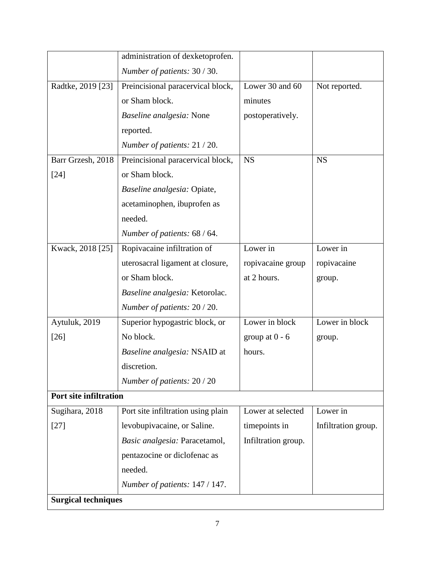|                               | administration of dexketoprofen.   |                     |                     |  |
|-------------------------------|------------------------------------|---------------------|---------------------|--|
|                               | Number of patients: 30 / 30.       |                     |                     |  |
| Radtke, 2019 [23]             | Preincisional paracervical block,  | Lower 30 and 60     | Not reported.       |  |
|                               | or Sham block.                     | minutes             |                     |  |
|                               | Baseline analgesia: None           | postoperatively.    |                     |  |
|                               | reported.                          |                     |                     |  |
|                               | Number of patients: 21 / 20.       |                     |                     |  |
| Barr Grzesh, 2018             | Preincisional paracervical block,  | <b>NS</b>           | <b>NS</b>           |  |
| $[24]$                        | or Sham block.                     |                     |                     |  |
|                               | Baseline analgesia: Opiate,        |                     |                     |  |
|                               | acetaminophen, ibuprofen as        |                     |                     |  |
|                               | needed.                            |                     |                     |  |
|                               | Number of patients: 68 / 64.       |                     |                     |  |
| Kwack, 2018 [25]              | Ropivacaine infiltration of        | Lower in            | Lower in            |  |
|                               | uterosacral ligament at closure,   | ropivacaine group   | ropivacaine         |  |
|                               | or Sham block.                     | at 2 hours.         | group.              |  |
|                               | Baseline analgesia: Ketorolac.     |                     |                     |  |
|                               | Number of patients: 20 / 20.       |                     |                     |  |
| Aytuluk, 2019                 | Superior hypogastric block, or     | Lower in block      | Lower in block      |  |
| $[26]$                        | No block.                          | group at $0 - 6$    | group.              |  |
|                               | Baseline analgesia: NSAID at       | hours.              |                     |  |
|                               | discretion.                        |                     |                     |  |
|                               | Number of patients: 20 / 20        |                     |                     |  |
| <b>Port site infiltration</b> |                                    |                     |                     |  |
| Sugihara, 2018                | Port site infiltration using plain | Lower at selected   | Lower in            |  |
| $[27]$                        | levobupivacaine, or Saline.        | timepoints in       | Infiltration group. |  |
|                               | Basic analgesia: Paracetamol,      | Infiltration group. |                     |  |
|                               | pentazocine or diclofenac as       |                     |                     |  |
|                               | needed.                            |                     |                     |  |
|                               | Number of patients: 147 / 147.     |                     |                     |  |
| <b>Surgical techniques</b>    |                                    |                     |                     |  |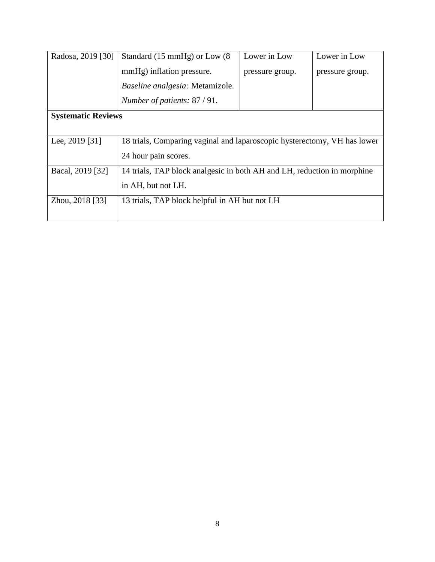| Radosa, 2019 [30]         | Standard (15 mmHg) or Low (8)                                            | Lower in Low    | Lower in Low    |  |
|---------------------------|--------------------------------------------------------------------------|-----------------|-----------------|--|
|                           | mmHg) inflation pressure.                                                | pressure group. | pressure group. |  |
|                           | Baseline analgesia: Metamizole.                                          |                 |                 |  |
|                           | Number of patients: 87 / 91.                                             |                 |                 |  |
| <b>Systematic Reviews</b> |                                                                          |                 |                 |  |
|                           |                                                                          |                 |                 |  |
| Lee, 2019 [31]            | 18 trials, Comparing vaginal and laparoscopic hysterectomy, VH has lower |                 |                 |  |
|                           | 24 hour pain scores.                                                     |                 |                 |  |
| Bacal, 2019 [32]          | 14 trials, TAP block analgesic in both AH and LH, reduction in morphine  |                 |                 |  |
|                           | in AH, but not LH.                                                       |                 |                 |  |
| Zhou, 2018 [33]           | 13 trials, TAP block helpful in AH but not LH                            |                 |                 |  |
|                           |                                                                          |                 |                 |  |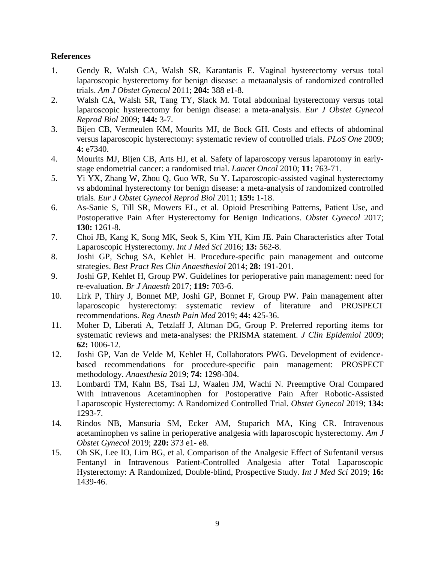### **References**

- 1. Gendy R, Walsh CA, Walsh SR, Karantanis E. Vaginal hysterectomy versus total laparoscopic hysterectomy for benign disease: a metaanalysis of randomized controlled trials. *Am J Obstet Gynecol* 2011; **204:** 388 e1-8.
- 2. Walsh CA, Walsh SR, Tang TY, Slack M. Total abdominal hysterectomy versus total laparoscopic hysterectomy for benign disease: a meta-analysis. *Eur J Obstet Gynecol Reprod Biol* 2009; **144:** 3-7.
- 3. Bijen CB, Vermeulen KM, Mourits MJ, de Bock GH. Costs and effects of abdominal versus laparoscopic hysterectomy: systematic review of controlled trials. *PLoS One* 2009; **4:** e7340.
- 4. Mourits MJ, Bijen CB, Arts HJ, et al. Safety of laparoscopy versus laparotomy in earlystage endometrial cancer: a randomised trial. *Lancet Oncol* 2010; **11:** 763-71.
- 5. Yi YX, Zhang W, Zhou Q, Guo WR, Su Y. Laparoscopic-assisted vaginal hysterectomy vs abdominal hysterectomy for benign disease: a meta-analysis of randomized controlled trials. *Eur J Obstet Gynecol Reprod Biol* 2011; **159:** 1-18.
- 6. As-Sanie S, Till SR, Mowers EL, et al. Opioid Prescribing Patterns, Patient Use, and Postoperative Pain After Hysterectomy for Benign Indications. *Obstet Gynecol* 2017; **130:** 1261-8.
- 7. Choi JB, Kang K, Song MK, Seok S, Kim YH, Kim JE. Pain Characteristics after Total Laparoscopic Hysterectomy. *Int J Med Sci* 2016; **13:** 562-8.
- 8. Joshi GP, Schug SA, Kehlet H. Procedure-specific pain management and outcome strategies. *Best Pract Res Clin Anaesthesiol* 2014; **28:** 191-201.
- 9. Joshi GP, Kehlet H, Group PW. Guidelines for perioperative pain management: need for re-evaluation. *Br J Anaesth* 2017; **119:** 703-6.
- 10. Lirk P, Thiry J, Bonnet MP, Joshi GP, Bonnet F, Group PW. Pain management after laparoscopic hysterectomy: systematic review of literature and PROSPECT recommendations. *Reg Anesth Pain Med* 2019; **44:** 425-36.
- 11. Moher D, Liberati A, Tetzlaff J, Altman DG, Group P. Preferred reporting items for systematic reviews and meta-analyses: the PRISMA statement. *J Clin Epidemiol* 2009; **62:** 1006-12.
- 12. Joshi GP, Van de Velde M, Kehlet H, Collaborators PWG. Development of evidencebased recommendations for procedure-specific pain management: PROSPECT methodology. *Anaesthesia* 2019; **74:** 1298-304.
- 13. Lombardi TM, Kahn BS, Tsai LJ, Waalen JM, Wachi N. Preemptive Oral Compared With Intravenous Acetaminophen for Postoperative Pain After Robotic-Assisted Laparoscopic Hysterectomy: A Randomized Controlled Trial. *Obstet Gynecol* 2019; **134:**  1293-7.
- 14. Rindos NB, Mansuria SM, Ecker AM, Stuparich MA, King CR. Intravenous acetaminophen vs saline in perioperative analgesia with laparoscopic hysterectomy. *Am J Obstet Gynecol* 2019; **220:** 373 e1- e8.
- 15. Oh SK, Lee IO, Lim BG, et al. Comparison of the Analgesic Effect of Sufentanil versus Fentanyl in Intravenous Patient-Controlled Analgesia after Total Laparoscopic Hysterectomy: A Randomized, Double-blind, Prospective Study. *Int J Med Sci* 2019; **16:**  1439-46.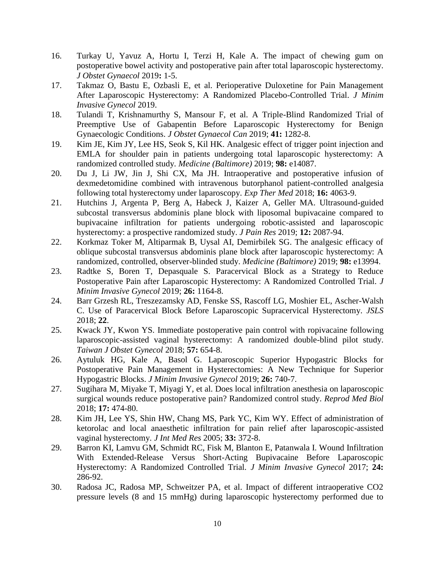- 16. Turkay U, Yavuz A, Hortu I, Terzi H, Kale A. The impact of chewing gum on postoperative bowel activity and postoperative pain after total laparoscopic hysterectomy. *J Obstet Gynaecol* 2019**:** 1-5.
- 17. Takmaz O, Bastu E, Ozbasli E, et al. Perioperative Duloxetine for Pain Management After Laparoscopic Hysterectomy: A Randomized Placebo-Controlled Trial. *J Minim Invasive Gynecol* 2019.
- 18. Tulandi T, Krishnamurthy S, Mansour F, et al. A Triple-Blind Randomized Trial of Preemptive Use of Gabapentin Before Laparoscopic Hysterectomy for Benign Gynaecologic Conditions. *J Obstet Gynaecol Can* 2019; **41:** 1282-8.
- 19. Kim JE, Kim JY, Lee HS, Seok S, Kil HK. Analgesic effect of trigger point injection and EMLA for shoulder pain in patients undergoing total laparoscopic hysterectomy: A randomized controlled study. *Medicine (Baltimore)* 2019; **98:** e14087.
- 20. Du J, Li JW, Jin J, Shi CX, Ma JH. Intraoperative and postoperative infusion of dexmedetomidine combined with intravenous butorphanol patient-controlled analgesia following total hysterectomy under laparoscopy. *Exp Ther Med* 2018; **16:** 4063-9.
- 21. Hutchins J, Argenta P, Berg A, Habeck J, Kaizer A, Geller MA. Ultrasound-guided subcostal transversus abdominis plane block with liposomal bupivacaine compared to bupivacaine infiltration for patients undergoing robotic-assisted and laparoscopic hysterectomy: a prospective randomized study. *J Pain Res* 2019; **12:** 2087-94.
- 22. Korkmaz Toker M, Altiparmak B, Uysal AI, Demirbilek SG. The analgesic efficacy of oblique subcostal transversus abdominis plane block after laparoscopic hysterectomy: A randomized, controlled, observer-blinded study. *Medicine (Baltimore)* 2019; **98:** e13994.
- 23. Radtke S, Boren T, Depasquale S. Paracervical Block as a Strategy to Reduce Postoperative Pain after Laparoscopic Hysterectomy: A Randomized Controlled Trial. *J Minim Invasive Gynecol* 2019; **26:** 1164-8.
- 24. Barr Grzesh RL, Treszezamsky AD, Fenske SS, Rascoff LG, Moshier EL, Ascher-Walsh C. Use of Paracervical Block Before Laparoscopic Supracervical Hysterectomy. *JSLS* 2018; **22**.
- 25. Kwack JY, Kwon YS. Immediate postoperative pain control with ropivacaine following laparoscopic-assisted vaginal hysterectomy: A randomized double-blind pilot study. *Taiwan J Obstet Gynecol* 2018; **57:** 654-8.
- 26. Aytuluk HG, Kale A, Basol G. Laparoscopic Superior Hypogastric Blocks for Postoperative Pain Management in Hysterectomies: A New Technique for Superior Hypogastric Blocks. *J Minim Invasive Gynecol* 2019; **26:** 740-7.
- 27. Sugihara M, Miyake T, Miyagi Y, et al. Does local infiltration anesthesia on laparoscopic surgical wounds reduce postoperative pain? Randomized control study. *Reprod Med Biol* 2018; **17:** 474-80.
- 28. Kim JH, Lee YS, Shin HW, Chang MS, Park YC, Kim WY. Effect of administration of ketorolac and local anaesthetic infiltration for pain relief after laparoscopic-assisted vaginal hysterectomy. *J Int Med Res* 2005; **33:** 372-8.
- 29. Barron KI, Lamvu GM, Schmidt RC, Fisk M, Blanton E, Patanwala I. Wound Infiltration With Extended-Release Versus Short-Acting Bupivacaine Before Laparoscopic Hysterectomy: A Randomized Controlled Trial. *J Minim Invasive Gynecol* 2017; **24:**  286-92.
- 30. Radosa JC, Radosa MP, Schweitzer PA, et al. Impact of different intraoperative CO2 pressure levels (8 and 15 mmHg) during laparoscopic hysterectomy performed due to